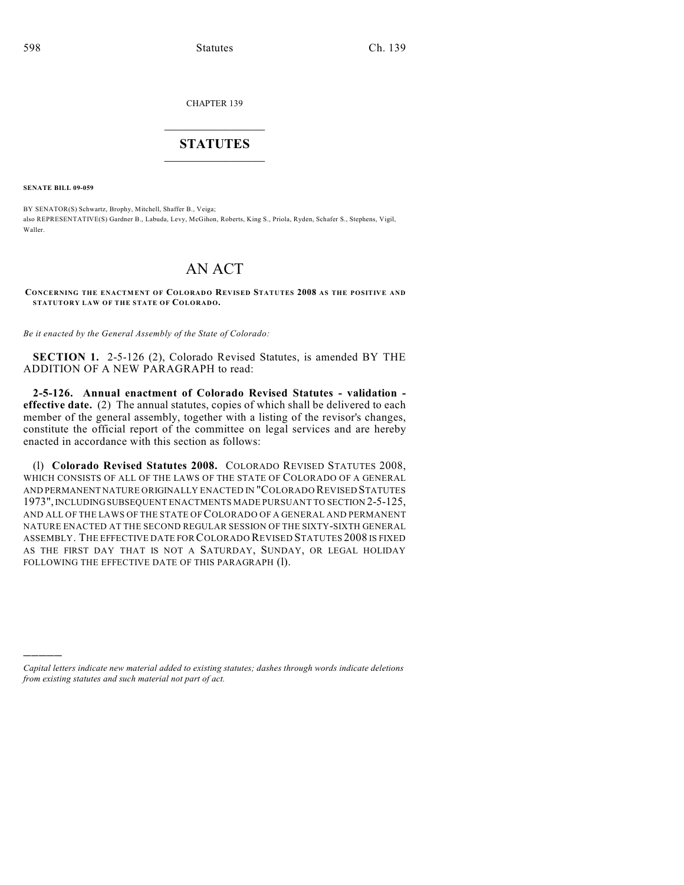CHAPTER 139

## $\overline{\phantom{a}}$  . The set of the set of the set of the set of the set of the set of the set of the set of the set of the set of the set of the set of the set of the set of the set of the set of the set of the set of the set o **STATUTES**  $\_$   $\_$

**SENATE BILL 09-059**

)))))

BY SENATOR(S) Schwartz, Brophy, Mitchell, Shaffer B., Veiga; also REPRESENTATIVE(S) Gardner B., Labuda, Levy, McGihon, Roberts, King S., Priola, Ryden, Schafer S., Stephens, Vigil, Waller.

## AN ACT

**CONCERNING THE ENACTM ENT OF COLORAD O REVISED STATUTES 2008 AS THE POSITIVE AND STATUTORY LAW OF THE STATE OF COLORADO.**

*Be it enacted by the General Assembly of the State of Colorado:*

**SECTION 1.** 2-5-126 (2), Colorado Revised Statutes, is amended BY THE ADDITION OF A NEW PARAGRAPH to read:

**2-5-126. Annual enactment of Colorado Revised Statutes - validation effective date.** (2) The annual statutes, copies of which shall be delivered to each member of the general assembly, together with a listing of the revisor's changes, constitute the official report of the committee on legal services and are hereby enacted in accordance with this section as follows:

(l) **Colorado Revised Statutes 2008.** COLORADO REVISED STATUTES 2008, WHICH CONSISTS OF ALL OF THE LAWS OF THE STATE OF COLORADO OF A GENERAL AND PERMANENT NATURE ORIGINALLY ENACTED IN "COLORADO REVISED STATUTES 1973", INCLUDING SUBSEQUENT ENACTMENTS MADE PURSUANT TO SECTION 2-5-125, AND ALL OF THE LAWS OF THE STATE OF COLORADO OF A GENERAL AND PERMANENT NATURE ENACTED AT THE SECOND REGULAR SESSION OF THE SIXTY-SIXTH GENERAL ASSEMBLY. THE EFFECTIVE DATE FOR COLORADO REVISED STATUTES 2008 IS FIXED AS THE FIRST DAY THAT IS NOT A SATURDAY, SUNDAY, OR LEGAL HOLIDAY FOLLOWING THE EFFECTIVE DATE OF THIS PARAGRAPH (1).

*Capital letters indicate new material added to existing statutes; dashes through words indicate deletions from existing statutes and such material not part of act.*